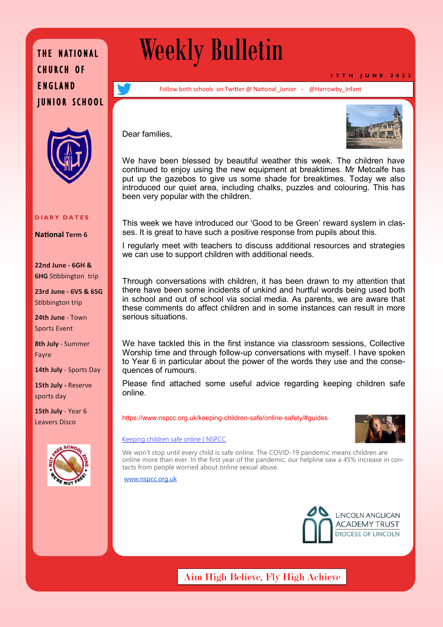### THE NATIONAL CHURCH OF ENGLAND JUNIOR SCHOOL



#### **D I A R Y D A T E S**

**National Term 6**

**22nd June - 6GH & 6HG** Stibbington trip

**23rd June - 6VS & 6SG**  Stibbington trip

**24th June** - Town Sports Event

**8th July** - Summer Fayre

**14th July** - Sports Day

**15th July -** Reserve sports day

**15th July** - Year 6 Leavers Disco



# Weekly Bulletin

**1 7 T H J U N E 2 0 2 2**

Follow both schools on Twitter @ National Junior - @Harrowby Infant

Dear families,



We have been blessed by beautiful weather this week. The children have continued to enjoy using the new equipment at breaktimes. Mr Metcalfe has put up the gazebos to give us some shade for breaktimes. Today we also introduced our quiet area, including chalks, puzzles and colouring. This has been very popular with the children.

This week we have introduced our 'Good to be Green' reward system in classes. It is great to have such a positive response from pupils about this.

I regularly meet with teachers to discuss additional resources and strategies we can use to support children with additional needs.

Through conversations with children, it has been drawn to my attention that there have been some incidents of unkind and hurtful words being used both in school and out of school via social media. As parents, we are aware that these comments do affect children and in some instances can result in more serious situations.

We have tackled this in the first instance via classroom sessions, Collective Worship time and through follow-up conversations with myself. I have spoken to Year 6 in particular about the power of the words they use and the consequences of rumours.

Please find attached some useful advice regarding keeping children safe online.

https://www.nspcc.org.uk/keeping-children-safe/online-safety/#guides



[Keeping children safe online | NSPCC](https://www.nspcc.org.uk/keeping-children-safe/online-safety/#guides)

We won't stop until every child is safe online. The COVID-19 pandemic means children are online more than ever. In the first year of the pandemic, our helpline saw a 45% increase in contacts from people worried about online sexual abuse.

[www.nspcc.org.uk](http://www.nspcc.org.uk/)



Aim High Believe, Fly High Achieve